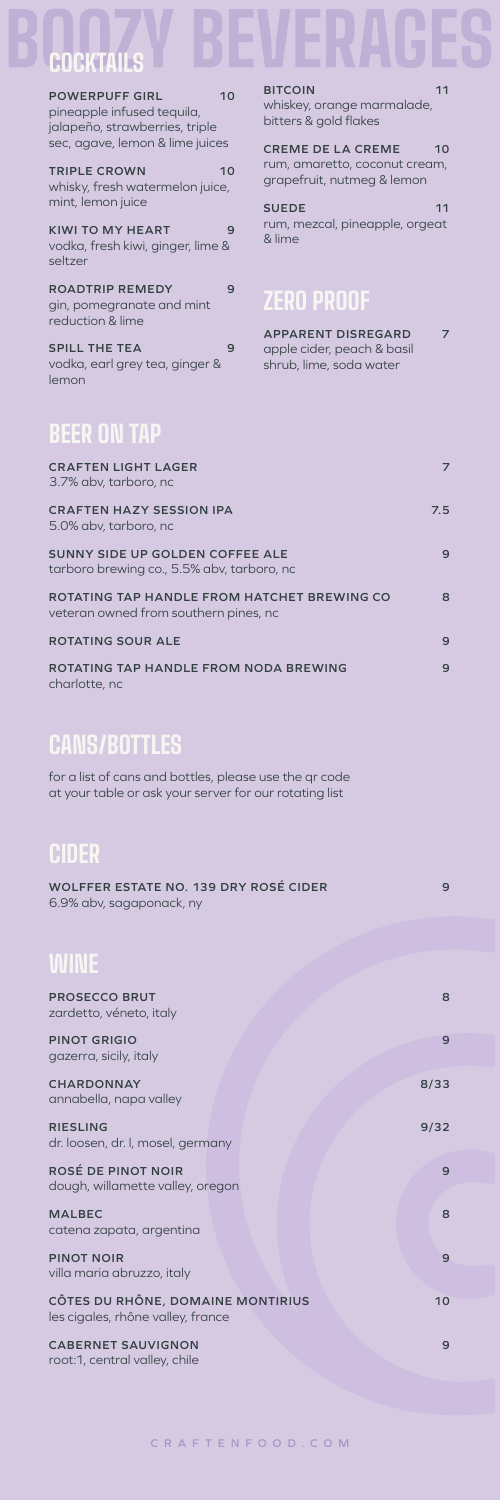### **CRAFTENFOOD.COM**

**POWERPUFF GIRL 10** pineapple infused tequila, jalapeño, strawberries, triple sec, agave, lemon & lime juices

**TRIPLE CROWN 10** whisky, fresh watermelon juice, mint, lemon juice

## **COCKTAILS BITCOIN 11**

**KIWI TO MY HEART 9** vodka, fresh kiwi, ginger, lime & seltzer

**ROADTRIP REMEDY 9** gin, pomegranate and mint reduction & lime

**SPILL THE TEA 9** vodka, earl grey tea, ginger & lemon

**CRAFTEN HAZY SESSION IPA 1999 12:53 12:54 12:55 12:55 12:55 12:55 12:55 12:55 12:55 12:55 12:55 12:55 12:55 12:55 12:55 12:55 12:55 12:55 12:55 12:55 12:55 12:55 12:55 12:55 12:55 12:55 12:55 12:55 12:55 12:55 12:55 12:** 5.0% abv, tarboro, nc

whiskey, orange marmalade, bitters & gold flakes

**CREME DE LA CREME 10** rum, amaretto, coconut cream, grapefruit, nutmeg & lemon

**SUEDE 11** rum, mezcal, pineapple, orgeat & lime

### **ZERO PROOF**

**APPARENT DISREGARD 7** apple cider, peach & basil shrub, lime, soda water

### **BEER ON TAP**

**CRAFTEN LIGHT LAGER 7** 3.7% abv, tarboro, nc

**SUNNY SIDE UP GOLDEN COFFEE ALE 9** tarboro brewing co., 5.5% abv, tarboro, nc

**ROTATING TAP HANDLE FROM HATCHET BREWING CO 8** veteran owned from southern pines, nc

**ROTATING SOUR ALE** 9

**ROTATING TAP HANDLE FROM NODA BREWING 9** charlotte, nc

### **CANS/BOTTLES**

for a list of cans and bottles, please use the qr code at your table or ask your server for our rotating list

### **CIDER**

| WOLFFER ESTATE NO. 139 DRY ROSÉ CIDER |  |
|---------------------------------------|--|
| 6.9% abv, sagaponack, ny              |  |

### **WINE**

| <b>PROSECCO BRUT</b><br>zardetto, véneto, italy |  | 8 |
|-------------------------------------------------|--|---|
| <b>PINOT GRIGIO</b><br>gazerra, sicily, italy   |  |   |

| <b>CHARDONNAY</b><br>annabella, napa valley                            | 8/33 |
|------------------------------------------------------------------------|------|
| <b>RIESLING</b><br>dr. loosen, dr. I, mosel, germany                   | 9/32 |
| <b>ROSÉ DE PINOT NOIR</b><br>dough, willamette valley, oregon          | 9    |
| <b>MALBEC</b><br>catena zapata, argentina                              | 8    |
| <b>PINOT NOIR</b><br>villa maria abruzzo, italy                        | 9    |
| CÔTES DU RHÔNE, DOMAINE MONTIRIUS<br>les cigales, rhône valley, france | 10   |
| <b>CABERNET SAUVIGNON</b><br>root:1, central valley, chile             | 9    |
|                                                                        |      |